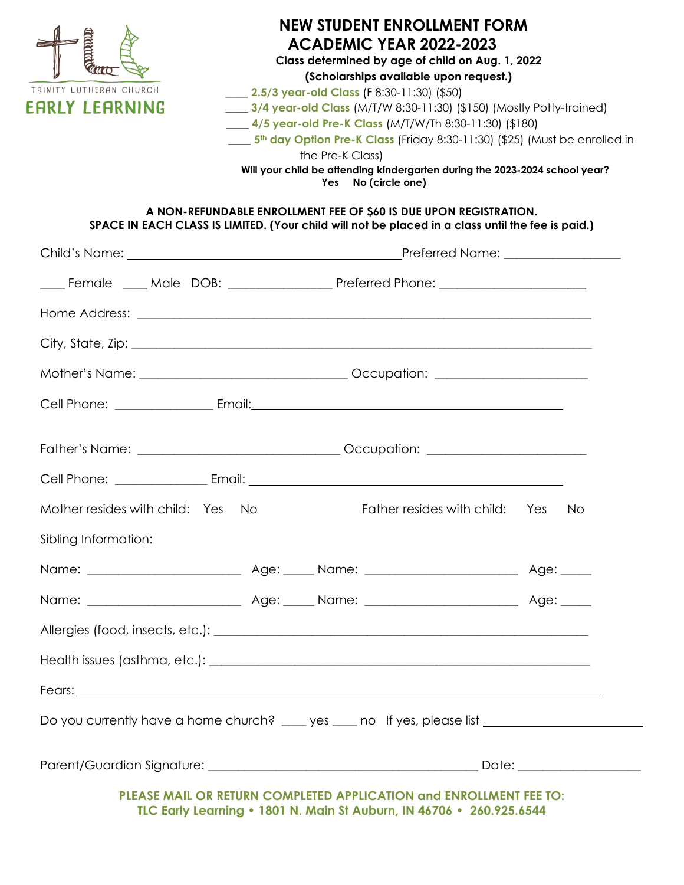

#### **NEW STUDENT ENROLLMENT FORM ACADEMIC YEAR 2022-2023 Class determined by age of child on Aug. 1, 2022 (Scholarships available upon request.)** \_\_\_\_ **2.5/3 year-old Class** (F 8:30-11:30) (\$50) \_\_\_\_ **3/4 year-old Class** (M/T/W 8:30-11:30) (\$150) (Mostly Potty-trained) \_\_\_\_ **4/5 year-old Pre-K Class** (M/T/W/Th 8:30-11:30) (\$180) \_\_\_\_ **5th day Option Pre-K Class** (Friday 8:30-11:30) (\$25) (Must be enrolled in the Pre-K Class) **Will your child be attending kindergarten during the 2023-2024 school year?**

**Yes No (circle one)**

#### **A NON-REFUNDABLE ENROLLMENT FEE OF \$60 IS DUE UPON REGISTRATION. SPACE IN EACH CLASS IS LIMITED. (Your child will not be placed in a class until the fee is paid.)**

|                                                                                                                                                                                                                                      | _____ Female _____ Male DOB: ____________________ Preferred Phone: ____________________ |  |                                                                                  |  |  |  |  |
|--------------------------------------------------------------------------------------------------------------------------------------------------------------------------------------------------------------------------------------|-----------------------------------------------------------------------------------------|--|----------------------------------------------------------------------------------|--|--|--|--|
|                                                                                                                                                                                                                                      |                                                                                         |  |                                                                                  |  |  |  |  |
|                                                                                                                                                                                                                                      |                                                                                         |  |                                                                                  |  |  |  |  |
|                                                                                                                                                                                                                                      |                                                                                         |  |                                                                                  |  |  |  |  |
|                                                                                                                                                                                                                                      |                                                                                         |  |                                                                                  |  |  |  |  |
|                                                                                                                                                                                                                                      |                                                                                         |  | Father's Name: ___________________________________Occupation: __________________ |  |  |  |  |
|                                                                                                                                                                                                                                      |                                                                                         |  |                                                                                  |  |  |  |  |
| Mother resides with child: Yes No                                                                                                                                                                                                    |                                                                                         |  | Father resides with child: Yes No                                                |  |  |  |  |
| Sibling Information:                                                                                                                                                                                                                 |                                                                                         |  |                                                                                  |  |  |  |  |
|                                                                                                                                                                                                                                      |                                                                                         |  |                                                                                  |  |  |  |  |
|                                                                                                                                                                                                                                      |                                                                                         |  |                                                                                  |  |  |  |  |
|                                                                                                                                                                                                                                      |                                                                                         |  |                                                                                  |  |  |  |  |
|                                                                                                                                                                                                                                      |                                                                                         |  |                                                                                  |  |  |  |  |
| Fears: <u>the contract of the contract of the contract of the contract of the contract of the contract of the contract of the contract of the contract of the contract of the contract of the contract of the contract of the co</u> |                                                                                         |  |                                                                                  |  |  |  |  |
| Do you currently have a home church? ____ yes ____ no If yes, please list _________________________                                                                                                                                  |                                                                                         |  |                                                                                  |  |  |  |  |
|                                                                                                                                                                                                                                      |                                                                                         |  |                                                                                  |  |  |  |  |
| PLEASE MAIL OR RETURN COMPLETED APPLICATION and ENROLLMENT FEE TO:                                                                                                                                                                   |                                                                                         |  |                                                                                  |  |  |  |  |

**TLC Early Learning • 1801 N. Main St Auburn, IN 46706 • 260.925.6544**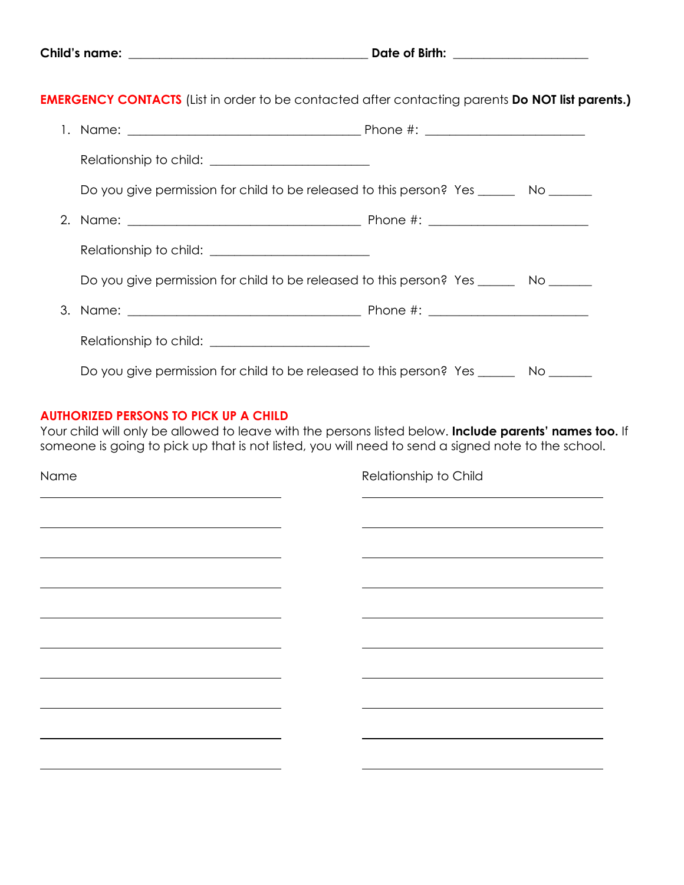|  | <b>Child's name:</b> |
|--|----------------------|
|--|----------------------|

**EMERGENCY CONTACTS** (List in order to be contacted after contacting parents **Do NOT list parents.)** 

| Do you give permission for child to be released to this person? Yes ________ No ______  |  |
|-----------------------------------------------------------------------------------------|--|
|                                                                                         |  |
|                                                                                         |  |
| Do you give permission for child to be released to this person? Yes ________ No _______ |  |
|                                                                                         |  |
|                                                                                         |  |
| Do you give permission for child to be released to this person? Yes ______              |  |

#### **AUTHORIZED PERSONS TO PICK UP A CHILD**

Your child will only be allowed to leave with the persons listed below. **Include parents' names too.** If someone is going to pick up that is not listed, you will need to send a signed note to the school.

Name Relationship to Child  $\overline{\phantom{a}}$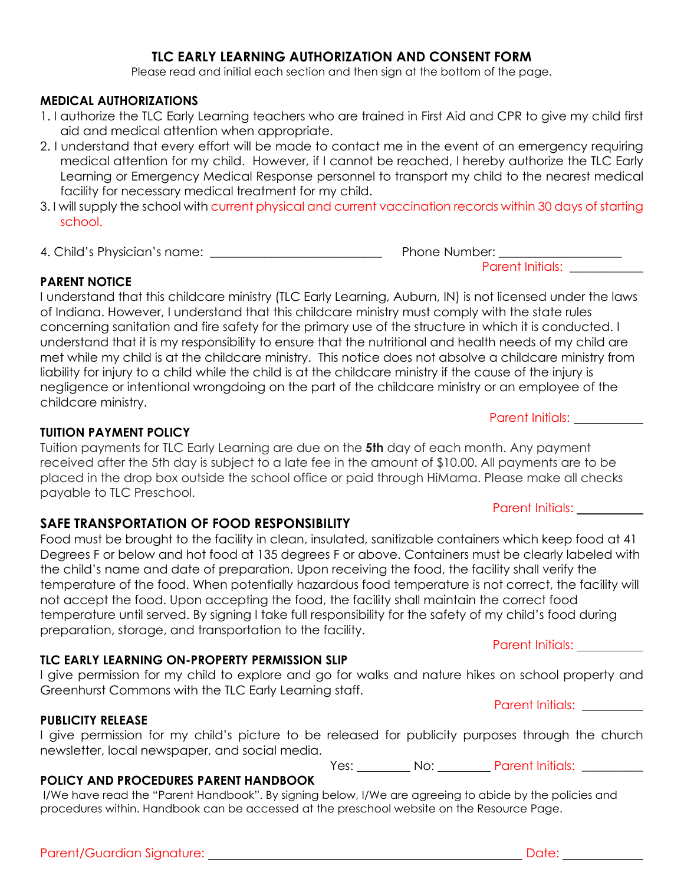#### **TLC EARLY LEARNING AUTHORIZATION AND CONSENT FORM**

Please read and initial each section and then sign at the bottom of the page.

#### **MEDICAL AUTHORIZATIONS**

- 1. I authorize the TLC Early Learning teachers who are trained in First Aid and CPR to give my child first aid and medical attention when appropriate.
- 2. I understand that every effort will be made to contact me in the event of an emergency requiring medical attention for my child. However, if I cannot be reached, I hereby authorize the TLC Early Learning or Emergency Medical Response personnel to transport my child to the nearest medical facility for necessary medical treatment for my child.
- 3. I will supply the school with current physical and current vaccination records within 30 days of starting school.
- 4. Child's Physician's name: \_\_\_\_\_\_\_\_\_\_\_\_\_\_\_\_\_\_\_\_\_\_\_\_\_\_\_\_ Phone Number: \_\_\_\_\_\_\_\_\_\_\_\_\_\_\_\_\_\_\_\_

Parent Initials:

#### **PARENT NOTICE**

I understand that this childcare ministry (TLC Early Learning, Auburn, IN) is not licensed under the laws of Indiana. However, I understand that this childcare ministry must comply with the state rules concerning sanitation and fire safety for the primary use of the structure in which it is conducted. I understand that it is my responsibility to ensure that the nutritional and health needs of my child are met while my child is at the childcare ministry. This notice does not absolve a childcare ministry from liability for injury to a child while the child is at the childcare ministry if the cause of the injury is negligence or intentional wrongdoing on the part of the childcare ministry or an employee of the childcare ministry.

## **TUITION PAYMENT POLICY**

Tuition payments for TLC Early Learning are due on the **5th** day of each month. Any payment received after the 5th day is subject to a late fee in the amount of \$10.00. All payments are to be placed in the drop box outside the school office or paid through HiMama. Please make all checks payable to TLC Preschool.

### **SAFE TRANSPORTATION OF FOOD RESPONSIBILITY**

Food must be brought to the facility in clean, insulated, sanitizable containers which keep food at 41 Degrees F or below and hot food at 135 degrees F or above. Containers must be clearly labeled with the child's name and date of preparation. Upon receiving the food, the facility shall verify the temperature of the food. When potentially hazardous food temperature is not correct, the facility will not accept the food. Upon accepting the food, the facility shall maintain the correct food temperature until served. By signing I take full responsibility for the safety of my child's food during preparation, storage, and transportation to the facility.

### **TLC EARLY LEARNING ON-PROPERTY PERMISSION SLIP**

I give permission for my child to explore and go for walks and nature hikes on school property and Greenhurst Commons with the TLC Early Learning staff.

#### **PUBLICITY RELEASE**

I give permission for my child's picture to be released for publicity purposes through the church newsletter, local newspaper, and social media.

Yes: No: Parent Initials: No: Parent Initials:

### **POLICY AND PROCEDURES PARENT HANDBOOK**

I/We have read the "Parent Handbook". By signing below, I/We are agreeing to abide by the policies and procedures within. Handbook can be accessed at the preschool website on the Resource Page.

Parent Initials: \_

# Parent Initials: **Market**

Parent Initials:

Parent Initials: \_\_\_\_\_\_\_\_\_